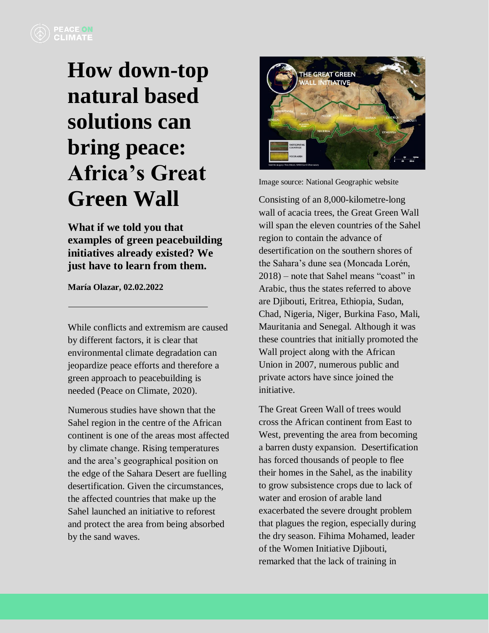## **How down-top natural based solutions can bring peace: Africa's Great Green Wall**

**What if we told you that examples of green peacebuilding initiatives already existed? We just have to learn from them.**

**María Olazar, 02.02.2022**

While conflicts and extremism are caused by different factors, it is clear that environmental climate degradation can jeopardize peace efforts and therefore a green approach to peacebuilding is needed (Peace on Climate, 2020).

Numerous studies have shown that the Sahel region in the centre of the African continent is one of the areas most affected by climate change. Rising temperatures and the area's geographical position on the edge of the Sahara Desert are fuelling desertification. Given the circumstances, the affected countries that make up the Sahel launched an initiative to reforest and protect the area from being absorbed by the sand waves.



Image source: National Geographic website

Consisting of an 8,000-kilometre-long wall of acacia trees, the Great Green Wall will span the eleven countries of the Sahel region to contain the advance of desertification on the southern shores of the Sahara's dune sea (Moncada Lorén, 2018) – note that Sahel means "coast" in Arabic, thus the states referred to above are Djibouti, Eritrea, Ethiopia, Sudan, Chad, Nigeria, Niger, Burkina Faso, Mali, Mauritania and Senegal. Although it was these countries that initially promoted the Wall project along with the African Union in 2007, numerous public and private actors have since joined the initiative.

The Great Green Wall of trees would cross the African continent from East to West, preventing the area from becoming a barren dusty expansion. Desertification has forced thousands of people to flee their homes in the Sahel, as the inability to grow subsistence crops due to lack of water and erosion of arable land exacerbated the severe drought problem that plagues the region, especially during the dry season. Fihima Mohamed, leader of the Women Initiative Djibouti, remarked that the lack of training in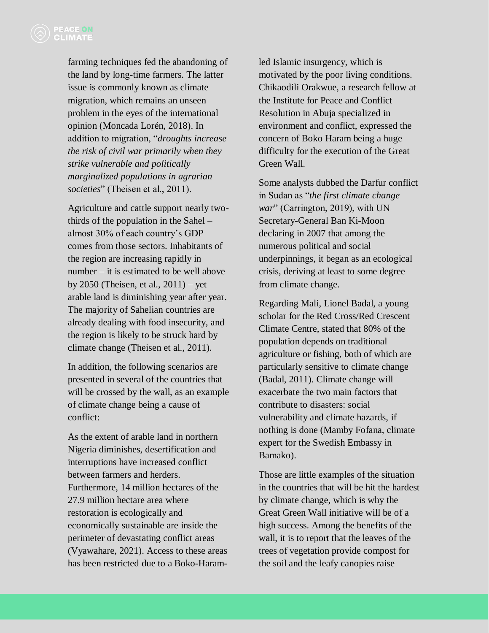farming techniques fed the abandoning of the land by long-time farmers. The latter issue is commonly known as climate migration, which remains an unseen problem in the eyes of the international opinion (Moncada Lorén, 2018). In addition to migration, "*droughts increase the risk of civil war primarily when they strike vulnerable and politically marginalized populations in agrarian societies*" (Theisen et al., 2011).

Agriculture and cattle support nearly twothirds of the population in the Sahel – almost 30% of each country's GDP comes from those sectors. Inhabitants of the region are increasing rapidly in number – it is estimated to be well above by 2050 (Theisen, et al., 2011) – yet arable land is diminishing year after year. The majority of Sahelian countries are already dealing with food insecurity, and the region is likely to be struck hard by climate change (Theisen et al., 2011).

In addition, the following scenarios are presented in several of the countries that will be crossed by the wall, as an example of climate change being a cause of conflict:

As the extent of arable land in northern Nigeria diminishes, desertification and interruptions have increased conflict between farmers and herders. Furthermore, 14 million hectares of the 27.9 million hectare area where restoration is ecologically and economically sustainable are inside the perimeter of devastating conflict areas (Vyawahare, 2021). Access to these areas has been restricted due to a Boko-Haramled Islamic insurgency, which is motivated by the poor living conditions. Chikaodili Orakwue, a research fellow at the Institute for Peace and Conflict Resolution in Abuja specialized in environment and conflict, expressed the concern of Boko Haram being a huge difficulty for the execution of the Great Green Wall.

Some analysts dubbed the Darfur conflict in Sudan as "*the first climate change war*" (Carrington, 2019), with UN Secretary-General Ban Ki-Moon declaring in 2007 that among the numerous political and social underpinnings, it began as an ecological crisis, deriving at least to some degree from climate change.

Regarding Mali, Lionel Badal, a young scholar for the Red Cross/Red Crescent Climate Centre, stated that 80% of the population depends on traditional agriculture or fishing, both of which are particularly sensitive to climate change (Badal, 2011). Climate change will exacerbate the two main factors that contribute to disasters: social vulnerability and climate hazards, if nothing is done (Mamby Fofana, climate expert for the Swedish Embassy in Bamako).

Those are little examples of the situation in the countries that will be hit the hardest by climate change, which is why the Great Green Wall initiative will be of a high success. Among the benefits of the wall, it is to report that the leaves of the trees of vegetation provide compost for the soil and the leafy canopies raise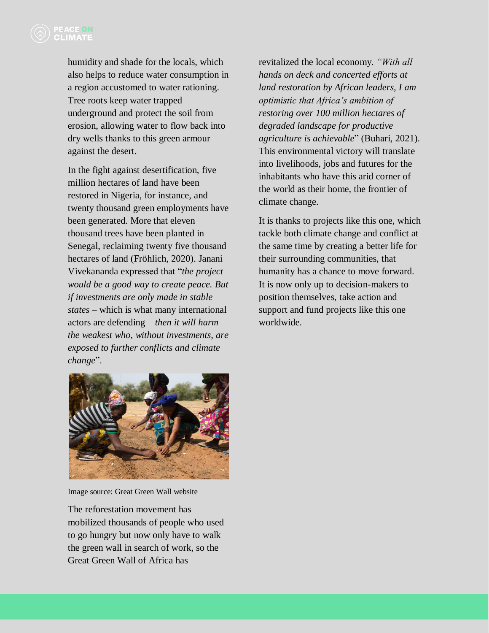humidity and shade for the locals, which also helps to reduce water consumption in a region accustomed to water rationing. Tree roots keep water trapped underground and protect the soil from erosion, allowing water to flow back into dry wells thanks to this green armour against the desert.

In the fight against desertification, five million hectares of land have been restored in Nigeria, for instance, and twenty thousand green employments have been generated. More that eleven thousand trees have been planted in Senegal, reclaiming twenty five thousand hectares of land (Fröhlich, 2020). Janani Vivekananda expressed that "*the project would be a good way to create peace. But if investments are only made in stable states* – which is what many international actors are defending – *then it will harm the weakest who, without investments, are exposed to further conflicts and climate change*".

revitalized the local economy. *"With all hands on deck and concerted efforts at land restoration by African leaders, I am optimistic that Africa's ambition of restoring over 100 million hectares of degraded landscape for productive agriculture is achievable*" (Buhari, 2021). This environmental victory will translate into livelihoods, jobs and futures for the inhabitants who have this arid corner of the world as their home, the frontier of climate change.

It is thanks to projects like this one, which tackle both climate change and conflict at the same time by creating a better life for their surrounding communities, that humanity has a chance to move forward. It is now only up to decision-makers to position themselves, take action and support and fund projects like this one worldwide.



Image source: Great Green Wall website

The reforestation movement has mobilized thousands of people who used to go hungry but now only have to walk the green wall in search of work, so the Great Green Wall of Africa has